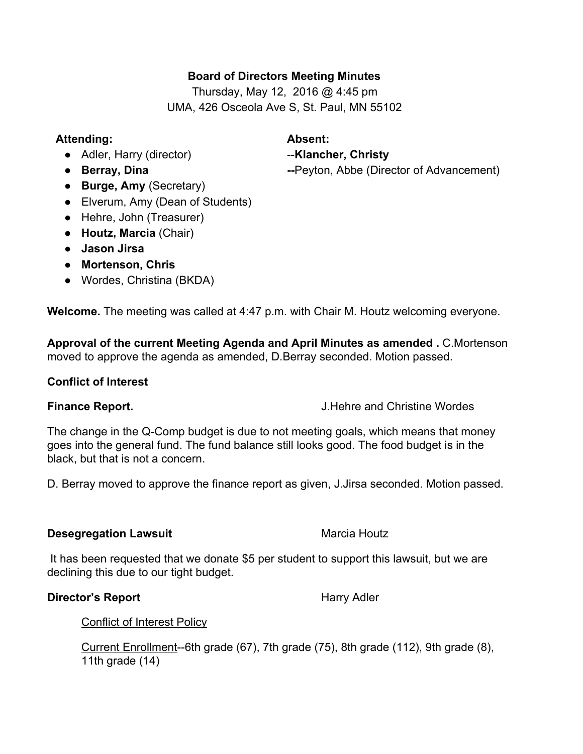# **Board of Directors Meeting Minutes**

Thursday, May 12, 2016 @ 4:45 pm UMA, 426 Osceola Ave S, St. Paul, MN 55102

## **Attending: Absent:**

- Adler, Harry (director) **Klancher, Christy**
- 
- **Burge, Amy**(Secretary)
- Elverum, Amy (Dean of Students)
- Hehre, John (Treasurer)
- **Houtz, Marcia**(Chair)
- **● Jason Jirsa**
- **● Mortenson, Chris**
- **●** Wordes, Christina (BKDA)

**Welcome.**The meeting was called at 4:47 p.m. with Chair M. Houtz welcoming everyone.

**Approval of the current Meeting Agenda and April Minutes as amended .** C.Mortenson moved to approve the agenda as amended, D.Berray seconded. Motion passed.

# **Conflict of Interest**

**Finance Report.** The **Report** Service Service Service Service Service Service Service Service Service Service Service Service Service Service Service Service Service Service Service Service Service Service Service Service

The change in the Q-Comp budget is due to not meeting goals, which means that money goes into the general fund. The fund balance still looks good. The food budget is in the black, but that is not a concern.

D. Berray moved to approve the finance report as given, J.Jirsa seconded. Motion passed.

# **Desegregation Lawsuit** Marcia Houtz

It has been requested that we donate \$5 per student to support this lawsuit, but we are declining this due to our tight budget.

# **Director's Report Harry Adler** Harry Adler

Conflict of Interest Policy

Current Enrollment--6th grade (67), 7th grade (75), 8th grade (112), 9th grade (8), 11th grade (14)

• **Berray, Dina Peyton, Abbe (Director of Advancement)**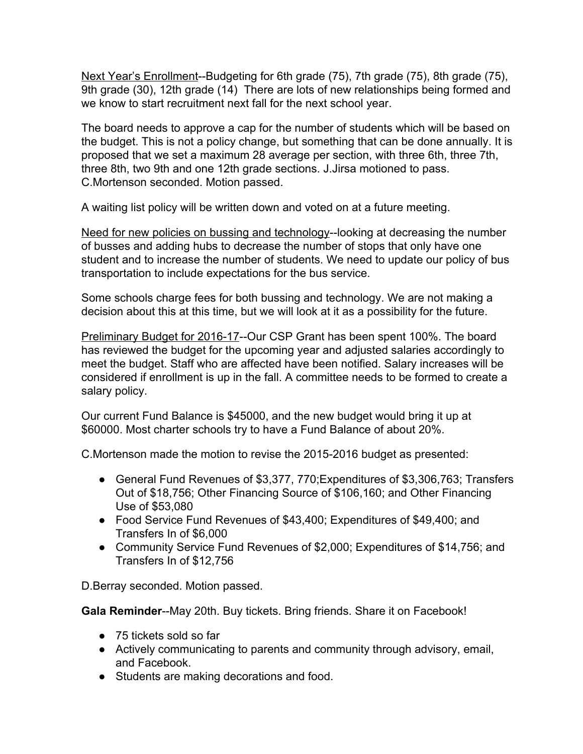Next Year's Enrollment--Budgeting for 6th grade (75), 7th grade (75), 8th grade (75), 9th grade (30), 12th grade (14) There are lots of new relationships being formed and we know to start recruitment next fall for the next school year.

The board needs to approve a cap for the number of students which will be based on the budget. This is not a policy change, but something that can be done annually. It is proposed that we set a maximum 28 average per section, with three 6th, three 7th, three 8th, two 9th and one 12th grade sections. J.Jirsa motioned to pass. C.Mortenson seconded. Motion passed.

A waiting list policy will be written down and voted on at a future meeting.

Need for new policies on bussing and technology--looking at decreasing the number of busses and adding hubs to decrease the number of stops that only have one student and to increase the number of students. We need to update our policy of bus transportation to include expectations for the bus service.

Some schools charge fees for both bussing and technology. We are not making a decision about this at this time, but we will look at it as a possibility for the future.

Preliminary Budget for 2016-17--Our CSP Grant has been spent 100%. The board has reviewed the budget for the upcoming year and adjusted salaries accordingly to meet the budget. Staff who are affected have been notified. Salary increases will be considered if enrollment is up in the fall. A committee needs to be formed to create a salary policy.

Our current Fund Balance is \$45000, and the new budget would bring it up at \$60000. Most charter schools try to have a Fund Balance of about 20%.

C.Mortenson made the motion to revise the 2015-2016 budget as presented:

- General Fund Revenues of \$3,377, 770; Expenditures of \$3,306,763; Transfers Out of \$18,756; Other Financing Source of \$106,160; and Other Financing Use of \$53,080
- Food Service Fund Revenues of \$43,400; Expenditures of \$49,400; and Transfers In of \$6,000
- Community Service Fund Revenues of \$2,000; Expenditures of \$14,756; and Transfers In of \$12,756

D.Berray seconded. Motion passed.

**Gala Reminder--May 20th. Buy tickets. Bring friends. Share it on Facebook!** 

- 75 tickets sold so far
- Actively communicating to parents and community through advisory, email, and Facebook.
- Students are making decorations and food.